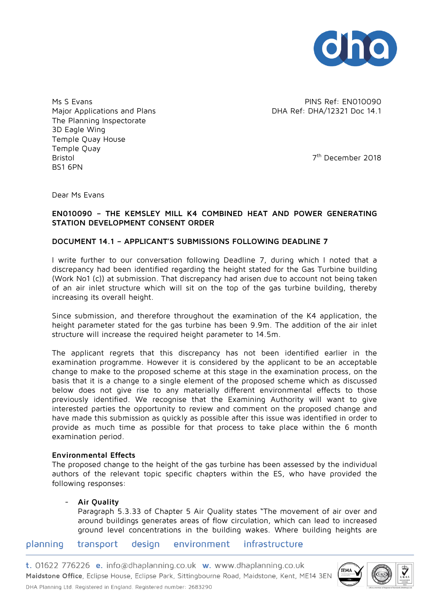

Ms S Evans Major Applications and Plans The Planning Inspectorate 3D Eagle Wing Temple Quay House Temple Quay Bristol BS1 6PN

PINS Ref: EN010090 DHA Ref: DHA/12321 Doc 14.1

7 th December 2018

Dear Ms Evans

# **EN010090 – THE KEMSLEY MILL K4 COMBINED HEAT AND POWER GENERATING STATION DEVELOPMENT CONSENT ORDER**

# **DOCUMENT 14.1 – APPLICANT'S SUBMISSIONS FOLLOWING DEADLINE 7**

I write further to our conversation following Deadline 7, during which I noted that a discrepancy had been identified regarding the height stated for the Gas Turbine building (Work No1 (c)) at submission. That discrepancy had arisen due to account not being taken of an air inlet structure which will sit on the top of the gas turbine building, thereby increasing its overall height.

Since submission, and therefore throughout the examination of the K4 application, the height parameter stated for the gas turbine has been 9.9m. The addition of the air inlet structure will increase the required height parameter to 14.5m.

The applicant regrets that this discrepancy has not been identified earlier in the examination programme. However it is considered by the applicant to be an acceptable change to make to the proposed scheme at this stage in the examination process, on the basis that it is a change to a single element of the proposed scheme which as discussed below does not give rise to any materially different environmental effects to those previously identified. We recognise that the Examining Authority will want to give interested parties the opportunity to review and comment on the proposed change and have made this submission as quickly as possible after this issue was identified in order to provide as much time as possible for that process to take place within the 6 month examination period.

#### **Environmental Effects**

The proposed change to the height of the gas turbine has been assessed by the individual authors of the relevant topic specific chapters within the ES, who have provided the following responses:

### - **Air Quality**

Paragraph 5.3.33 of Chapter 5 Air Quality states "The movement of air over and around buildings generates areas of flow circulation, which can lead to increased ground level concentrations in the building wakes. Where building heights are

planning design environment infrastructure transport

t. 01622 776226 e. info@dhaplanning.co.uk w. www.dhaplanning.co.uk Maidstone Office, Eclipse House, Eclipse Park, Sittingbourne Road, Maidstone, Kent, ME14 3EN DHA Planning Ltd. Registered in England. Registered number: 2683290

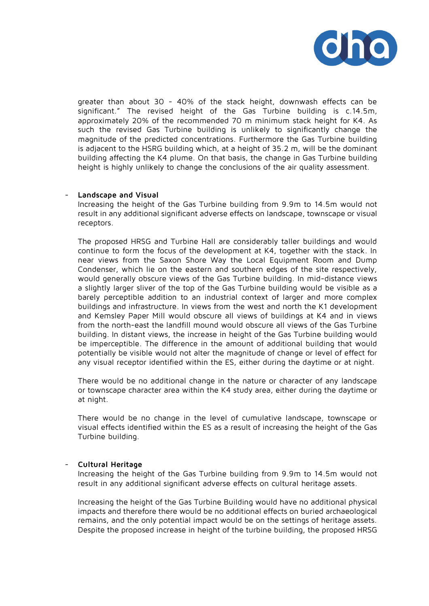

greater than about 30 - 40% of the stack height, downwash effects can be significant." The revised height of the Gas Turbine building is c.14.5m, approximately 20% of the recommended 70 m minimum stack height for K4. As such the revised Gas Turbine building is unlikely to significantly change the magnitude of the predicted concentrations. Furthermore the Gas Turbine building is adjacent to the HSRG building which, at a height of 35.2 m, will be the dominant building affecting the K4 plume. On that basis, the change in Gas Turbine building height is highly unlikely to change the conclusions of the air quality assessment.

### - **Landscape and Visual**

Increasing the height of the Gas Turbine building from 9.9m to 14.5m would not result in any additional significant adverse effects on landscape, townscape or visual receptors.

The proposed HRSG and Turbine Hall are considerably taller buildings and would continue to form the focus of the development at K4, together with the stack. In near views from the Saxon Shore Way the Local Equipment Room and Dump Condenser, which lie on the eastern and southern edges of the site respectively, would generally obscure views of the Gas Turbine building. In mid-distance views a slightly larger sliver of the top of the Gas Turbine building would be visible as a barely perceptible addition to an industrial context of larger and more complex buildings and infrastructure. In views from the west and north the K1 development and Kemsley Paper Mill would obscure all views of buildings at K4 and in views from the north-east the landfill mound would obscure all views of the Gas Turbine building. In distant views, the increase in height of the Gas Turbine building would be imperceptible. The difference in the amount of additional building that would potentially be visible would not alter the magnitude of change or level of effect for any visual receptor identified within the ES, either during the daytime or at night.

There would be no additional change in the nature or character of any landscape or townscape character area within the K4 study area, either during the daytime or at night.

There would be no change in the level of cumulative landscape, townscape or visual effects identified within the ES as a result of increasing the height of the Gas Turbine building.

# - **Cultural Heritage**

Increasing the height of the Gas Turbine building from 9.9m to 14.5m would not result in any additional significant adverse effects on cultural heritage assets.

Increasing the height of the Gas Turbine Building would have no additional physical impacts and therefore there would be no additional effects on buried archaeological remains, and the only potential impact would be on the settings of heritage assets. Despite the proposed increase in height of the turbine building, the proposed HRSG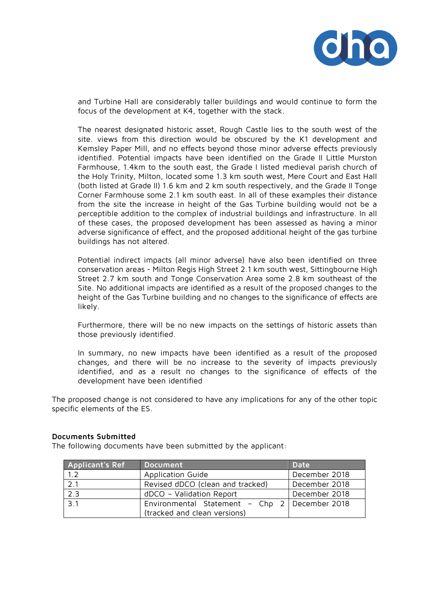

and Turbine Hall are considerably taller buildings and would continue to form the focus of the development at K4, together with the stack.

The nearest designated historic asset, Rough Castle lies to the south west of the site. views from this direction would be obscured by the K1 development and Kemsley Paper Mill, and no effects beyond those minor adverse effects previously identified. Potential impacts have been identified on the Grade II Little Murston Farmhouse, 1.4km to the south east, the Grade I listed medieval parish church of the Holy Trinity, Milton, located some 1.3 km south west, Mere Court and East Hall (both listed at Grade II) 1.6 km and 2 km south respectively, and the Grade II Tonge Corner Farmhouse some 2.1 km south east. In all of these examples their distance from the site the increase in height of the Gas Turbine building would not be a perceptible addition to the complex of industrial buildings and infrastructure. In all of these cases, the proposed development has been assessed as having a minor adverse significance of effect, and the proposed additional height of the gas turbine buildings has not altered.

Potential indirect impacts (all minor adverse) have also been identified on three conservation areas - Milton Regis High Street 2.1 km south west, Sittingbourne High Street 2.7 km south and Tonge Conservation Area some 2.8 km southeast of the Site. No additional impacts are identified as a result of the proposed changes to the height of the Gas Turbine building and no changes to the significance of effects are likely.

Furthermore, there will be no new impacts on the settings of historic assets than those previously identified.

In summary, no new impacts have been identified as a result of the proposed changes, and there will be no increase to the severity of impacts previously identified, and as a result no changes to the significance of effects of the development have been identified

The proposed change is not considered to have any implications for any of the other topic specific elements of the ES.

#### **Documents Submitted**

The following documents have been submitted by the applicant:

| Applicant's Ref  | Document                                                          | Date          |
|------------------|-------------------------------------------------------------------|---------------|
| 1.2              | Application Guide                                                 | December 2018 |
| 2.1              | Revised dDCO (clean and tracked)                                  | December 2018 |
| $\overline{2.3}$ | dDCO - Validation Report                                          | December 2018 |
| $\overline{3.1}$ | Environmental Statement - $Chp 2$<br>(tracked and clean versions) | December 2018 |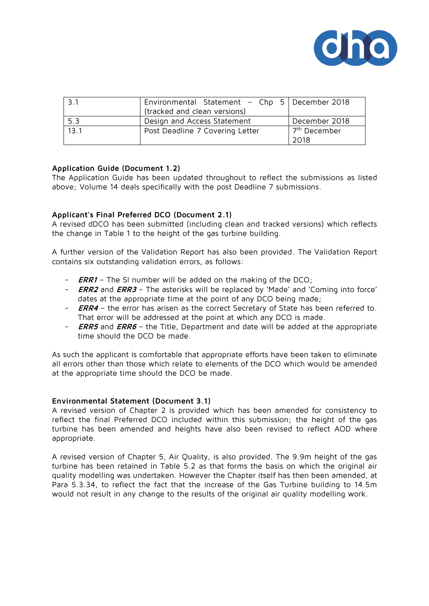

| ્ર 1 | Environmental Statement - $Chp 5   December 2018$<br>(tracked and clean versions) |                                  |
|------|-----------------------------------------------------------------------------------|----------------------------------|
| 5.3  | Design and Access Statement                                                       | December 2018                    |
| 13.1 | Post Deadline 7 Covering Letter                                                   | 7 <sup>th</sup> December<br>2018 |

# **Application Guide (Document 1.2)**

The Application Guide has been updated throughout to reflect the submissions as listed above; Volume 14 deals specifically with the post Deadline 7 submissions.

### **Applicant's Final Preferred DCO (Document 2.1)**

A revised dDCO has been submitted (including clean and tracked versions) which reflects the change in Table 1 to the height of the gas turbine building.

A further version of the Validation Report has also been provided. The Validation Report contains six outstanding validation errors, as follows:

- **ERR1** The SI number will be added on the making of the DCO;
- **ERR2** and **ERR3** The asterisks will be replaced by 'Made' and 'Coming into force' dates at the appropriate time at the point of any DCO being made;
- **ERR4** the error has arisen as the correct Secretary of State has been referred to. That error will be addressed at the point at which any DCO is made.
- **ERR5** and **ERR6** the Title, Department and date will be added at the appropriate time should the DCO be made.

As such the applicant is comfortable that appropriate efforts have been taken to eliminate all errors other than those which relate to elements of the DCO which would be amended at the appropriate time should the DCO be made.

#### **Environmental Statement (Document 3.1)**

A revised version of Chapter 2 is provided which has been amended for consistency to reflect the final Preferred DCO included within this submission; the height of the gas turbine has been amended and heights have also been revised to reflect AOD where appropriate.

A revised version of Chapter 5, Air Quality, is also provided. The 9.9m height of the gas turbine has been retained in Table 5.2 as that forms the basis on which the original air quality modelling was undertaken. However the Chapter itself has then been amended, at Para 5.3.34, to reflect the fact that the increase of the Gas Turbine building to 14.5m would not result in any change to the results of the original air quality modelling work.